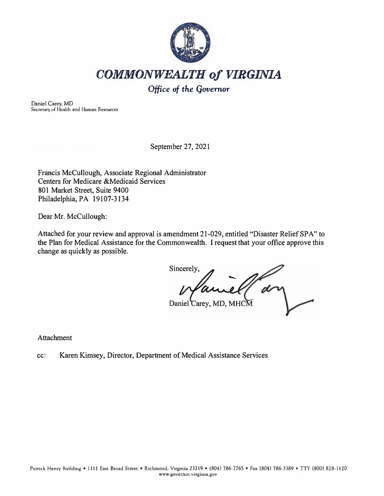

*COMMONWEALTH of VIRGINIA* 

*Office* **of** *the* **Governor** 

Daniel Carey, MD Secretary of Health and Human Resources

September 27, 2021

Francis McCullough, Associate Regional Administrator Centers for Medicare &Medicaid Services 801 Market Street, Suite 9400 Philadelphia, PA 19107-3134

Dear Mr. McCullough:

Attached for your review and approval is amendment 21-029, entitled "Disaster Relief SPA" to the Plan for Medical Assistance for the Commonwealth. I request that your office approve this change as quickly as possible.

Sincerely, Daniel Carey, MD, MHCM

Attachment

cc: Karen Kimsey, Director, Department of Medical Assistance Services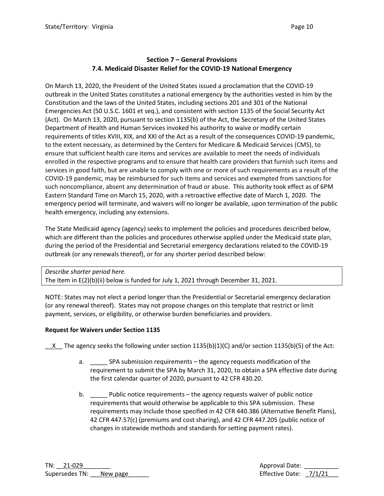# **Section 7 – General Provisions 7.4. Medicaid Disaster Relief for the COVID-19 National Emergency**

On March 13, 2020, the President of the United States issued a proclamation that the COVID-19 outbreak in the United States constitutes a national emergency by the authorities vested in him by the Constitution and the laws of the United States, including sections 201 and 301 of the National Emergencies Act (50 U.S.C. 1601 et seq.), and consistent with section 1135 of the Social Security Act (Act). On March 13, 2020, pursuant to section 1135(b) of the Act, the Secretary of the United States Department of Health and Human Services invoked his authority to waive or modify certain requirements of titles XVIII, XIX, and XXI of the Act as a result of the consequences COVID-19 pandemic, to the extent necessary, as determined by the Centers for Medicare & Medicaid Services (CMS), to ensure that sufficient health care items and services are available to meet the needs of individuals enrolled in the respective programs and to ensure that health care providers that furnish such items and services in good faith, but are unable to comply with one or more of such requirements as a result of the COVID-19 pandemic, may be reimbursed for such items and services and exempted from sanctions for such noncompliance, absent any determination of fraud or abuse. This authority took effect as of 6PM Eastern Standard Time on March 15, 2020, with a retroactive effective date of March 1, 2020. The emergency period will terminate, and waivers will no longer be available, upon termination of the public health emergency, including any extensions.

The State Medicaid agency (agency) seeks to implement the policies and procedures described below, which are different than the policies and procedures otherwise applied under the Medicaid state plan, during the period of the Presidential and Secretarial emergency declarations related to the COVID-19 outbreak (or any renewals thereof), or for any shorter period described below:

*Describe shorter period here.* The Item in E(2)(b)(ii) below is funded for July 1, 2021 through December 31, 2021.

NOTE: States may not elect a period longer than the Presidential or Secretarial emergency declaration (or any renewal thereof). States may not propose changes on this template that restrict or limit payment, services, or eligibility, or otherwise burden beneficiaries and providers.

## **Request for Waivers under Section 1135**

 $X$  The agency seeks the following under section 1135(b)(1)(C) and/or section 1135(b)(5) of the Act:

- a. \_\_\_\_\_ SPA submission requirements the agency requests modification of the requirement to submit the SPA by March 31, 2020, to obtain a SPA effective date during the first calendar quarter of 2020, pursuant to 42 CFR 430.20.
- b. **EXECT:** Public notice requirements the agency requests waiver of public notice requirements that would otherwise be applicable to this SPA submission. These requirements may include those specified in 42 CFR 440.386 (Alternative Benefit Plans), 42 CFR 447.57(c) (premiums and cost sharing), and 42 CFR 447.205 (public notice of changes in statewide methods and standards for setting payment rates).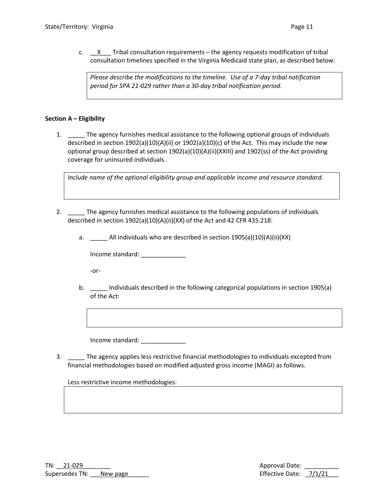c. X Tribal consultation requirements – the agency requests modification of tribal consultation timelines specified in the Virginia Medicaid state plan, as described below:

*Please describe the modifications to the timeline. Use of a 7-day tribal notification period for SPA 21-029 rather than a 30-day tribal notification period.*

## **Section A – Eligibility**

1. \_\_\_\_\_ The agency furnishes medical assistance to the following optional groups of individuals described in section 1902(a)(10)(A)(ii) or 1902(a)(10)(c) of the Act. This may include the new optional group described at section 1902(a)(10)(A)(ii)(XXIII) and 1902(ss) of the Act providing coverage for uninsured individuals.

*Include name of the optional eligibility group and applicable income and resource standard.*

- 2. **The agency furnishes medical assistance to the following populations of individuals** described in section 1902(a)(10)(A)(ii)(XX) of the Act and 42 CFR 435.218:
	- a. \_\_\_\_\_ All individuals who are described in section 1905(a)(10)(A)(ii)(XX)

Income standard: \_\_\_\_\_\_\_\_\_\_\_\_\_

-or-

b. \_\_\_\_ Individuals described in the following categorical populations in section 1905(a) of the Act:

Income standard: \_\_\_\_\_\_\_\_\_\_\_\_\_

3. \_\_\_\_\_ The agency applies less restrictive financial methodologies to individuals excepted from financial methodologies based on modified adjusted gross income (MAGI) as follows.

Less restrictive income methodologies: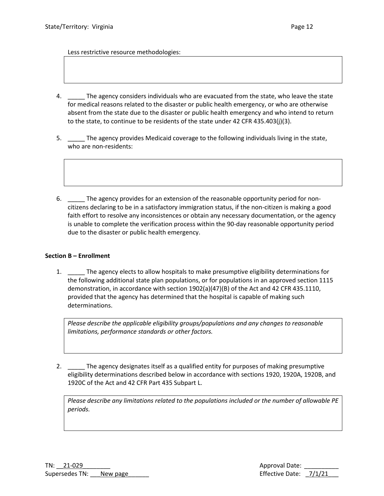Less restrictive resource methodologies:

- 4. \_\_\_\_\_ The agency considers individuals who are evacuated from the state, who leave the state for medical reasons related to the disaster or public health emergency, or who are otherwise absent from the state due to the disaster or public health emergency and who intend to return to the state, to continue to be residents of the state under 42 CFR 435.403(j)(3).
- 5. \_\_\_\_\_ The agency provides Medicaid coverage to the following individuals living in the state, who are non-residents:
- 6. \_\_\_\_\_ The agency provides for an extension of the reasonable opportunity period for noncitizens declaring to be in a satisfactory immigration status, if the non-citizen is making a good faith effort to resolve any inconsistences or obtain any necessary documentation, or the agency is unable to complete the verification process within the 90-day reasonable opportunity period due to the disaster or public health emergency.

### **Section B – Enrollment**

1. The agency elects to allow hospitals to make presumptive eligibility determinations for the following additional state plan populations, or for populations in an approved section 1115 demonstration, in accordance with section 1902(a)(47)(B) of the Act and 42 CFR 435.1110, provided that the agency has determined that the hospital is capable of making such determinations.

*Please describe the applicable eligibility groups/populations and any changes to reasonable limitations, performance standards or other factors.*

2. The agency designates itself as a qualified entity for purposes of making presumptive eligibility determinations described below in accordance with sections 1920, 1920A, 1920B, and 1920C of the Act and 42 CFR Part 435 Subpart L.

*Please describe any limitations related to the populations included or the number of allowable PE periods.*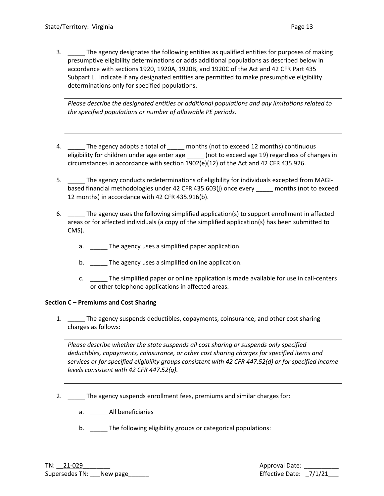3. \_\_\_\_\_ The agency designates the following entities as qualified entities for purposes of making presumptive eligibility determinations or adds additional populations as described below in accordance with sections 1920, 1920A, 1920B, and 1920C of the Act and 42 CFR Part 435 Subpart L. Indicate if any designated entities are permitted to make presumptive eligibility determinations only for specified populations.

*Please describe the designated entities or additional populations and any limitations related to the specified populations or number of allowable PE periods.*

- 4. The agency adopts a total of \_\_\_\_\_ months (not to exceed 12 months) continuous eligibility for children under age enter age  $\qquad \qquad$  (not to exceed age 19) regardless of changes in circumstances in accordance with section 1902(e)(12) of the Act and 42 CFR 435.926.
- 5. \_\_\_\_\_ The agency conducts redeterminations of eligibility for individuals excepted from MAGIbased financial methodologies under 42 CFR 435.603(j) once every \_\_\_\_\_ months (not to exceed 12 months) in accordance with 42 CFR 435.916(b).
- 6. \_\_\_\_\_ The agency uses the following simplified application(s) to support enrollment in affected areas or for affected individuals (a copy of the simplified application(s) has been submitted to CMS).
	- a. The agency uses a simplified paper application.
	- b. The agency uses a simplified online application.
	- c. \_\_\_\_\_ The simplified paper or online application is made available for use in call-centers or other telephone applications in affected areas.

## **Section C – Premiums and Cost Sharing**

1. \_\_\_\_\_ The agency suspends deductibles, copayments, coinsurance, and other cost sharing charges as follows:

*Please describe whether the state suspends all cost sharing or suspends only specified deductibles, copayments, coinsurance, or other cost sharing charges for specified items and services or for specified eligibility groups consistent with 42 CFR 447.52(d) or for specified income levels consistent with 42 CFR 447.52(g).*

- 2. \_\_\_\_\_ The agency suspends enrollment fees, premiums and similar charges for:
	- a. \_\_\_\_\_ All beneficiaries
	- b. \_\_\_\_\_ The following eligibility groups or categorical populations: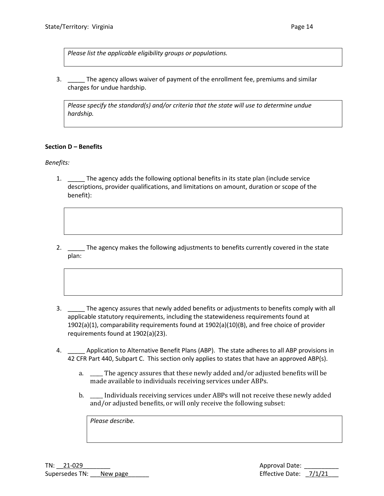*Please list the applicable eligibility groups or populations.*

3. \_\_\_\_\_ The agency allows waiver of payment of the enrollment fee, premiums and similar charges for undue hardship.

*Please specify the standard(s) and/or criteria that the state will use to determine undue hardship.* 

## **Section D – Benefits**

*Benefits:*

- 1. The agency adds the following optional benefits in its state plan (include service descriptions, provider qualifications, and limitations on amount, duration or scope of the benefit):
- 2. \_\_\_\_\_ The agency makes the following adjustments to benefits currently covered in the state plan:
- 3. \_\_\_\_\_ The agency assures that newly added benefits or adjustments to benefits comply with all applicable statutory requirements, including the statewideness requirements found at 1902(a)(1), comparability requirements found at 1902(a)(10)(B), and free choice of provider requirements found at 1902(a)(23).
- 4. \_\_\_\_\_ Application to Alternative Benefit Plans (ABP). The state adheres to all ABP provisions in 42 CFR Part 440, Subpart C. This section only applies to states that have an approved ABP(s).
	- a. \_\_\_\_\_ The agency assures that these newly added and/or adjusted benefits will be made available to individuals receiving services under ABPs.
	- b. \_\_\_\_\_ Individuals receiving services under ABPs will not receive these newly added and/or adjusted benefits, or will only receive the following subset:

*Please describe.*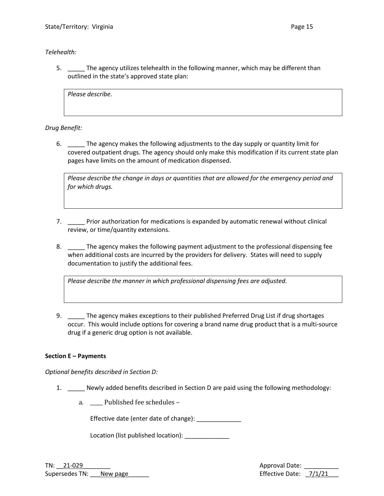*Telehealth:*

5. The agency utilizes telehealth in the following manner, which may be different than outlined in the state's approved state plan:

*Please describe.*

*Drug Benefit:*

6. \_\_\_\_\_ The agency makes the following adjustments to the day supply or quantity limit for covered outpatient drugs. The agency should only make this modification if its current state plan pages have limits on the amount of medication dispensed.

*Please describe the change in days or quantities that are allowed for the emergency period and for which drugs.* 

- 7. \_\_\_\_\_ Prior authorization for medications is expanded by automatic renewal without clinical review, or time/quantity extensions.
- 8. \_\_\_\_\_ The agency makes the following payment adjustment to the professional dispensing fee when additional costs are incurred by the providers for delivery. States will need to supply documentation to justify the additional fees.

*Please describe the manner in which professional dispensing fees are adjusted.*

9. \_\_\_\_\_ The agency makes exceptions to their published Preferred Drug List if drug shortages occur. This would include options for covering a brand name drug product that is a multi-source drug if a generic drug option is not available.

### **Section E – Payments**

*Optional benefits described in Section D:*

- 1. Newly added benefits described in Section D are paid using the following methodology:
	- a. \_\_\_\_\_ Published fee schedules –

Effective date (enter date of change): \_\_\_\_\_\_\_\_\_\_\_\_\_\_

Location (list published location): Location

TN: \_\_21-029\_\_\_\_\_\_\_\_ Approval Date: \_\_\_\_\_\_\_\_\_\_ Supersedes TN: \_\_\_New page\_\_\_\_\_\_ Effective Date: \_7/1/21\_\_\_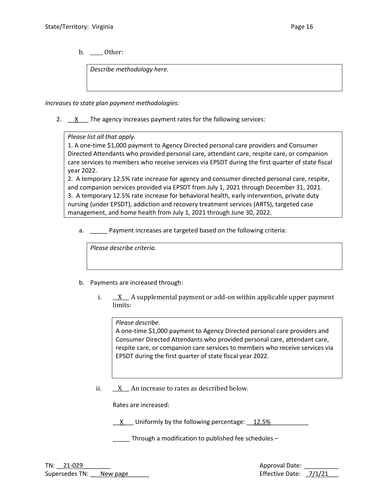b. \_\_\_\_\_ Other:

*Describe methodology here.*

*Increases to state plan payment methodologies:*

2. X The agency increases payment rates for the following services:

*Please list all that apply.*

1. A one-time \$1,000 payment to Agency Directed personal care providers and Consumer Directed Attendants who provided personal care, attendant care, respite care, or companion care services to members who receive services via EPSDT during the first quarter of state fiscal year 2022.

2. A temporary 12.5% rate increase for agency and consumer directed personal care, respite, and companion services provided via EPSDT from July 1, 2021 through December 31, 2021. 3. A temporary 12.5% rate increase for behavioral health, early intervention, private duty nursing (under EPSDT), addiction and recovery treatment services (ARTS), targeted case management, and home health from July 1, 2021 through June 30, 2022.

a. \_\_\_\_\_ Payment increases are targeted based on the following criteria:

*Please describe criteria.*

- b. Payments are increased through:
	- i. X A supplemental payment or add-on within applicable upper payment limits:

*Please describe.*

A one-time \$1,000 payment to Agency Directed personal care providers and Consumer Directed Attendants who provided personal care, attendant care, respite care, or companion care services to members who receive services via EPSDT during the first quarter of state fiscal year 2022.

ii.  $\underline{X}$  An increase to rates as described below.

Rates are increased:

 $\underline{\phantom{a}}$   $\underline{\phantom{a}}$  Uniformly by the following percentage:  $\underline{\phantom{a}}$  12.5%

Through a modification to published fee schedules –

TN: 21-029 Approval Date: Supersedes TN: \_\_\_New page\_\_\_\_\_\_ Effective Date: \_7/1/21\_\_\_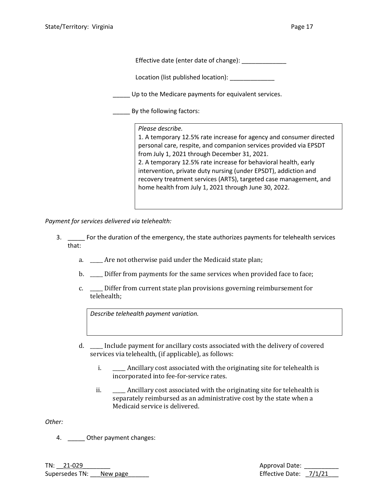| Effective date (enter date of change):               |                                                                                                                                                                                                                                                                                                                                                                                                                                                                                 |  |
|------------------------------------------------------|---------------------------------------------------------------------------------------------------------------------------------------------------------------------------------------------------------------------------------------------------------------------------------------------------------------------------------------------------------------------------------------------------------------------------------------------------------------------------------|--|
|                                                      | Location (list published location):                                                                                                                                                                                                                                                                                                                                                                                                                                             |  |
| Up to the Medicare payments for equivalent services. |                                                                                                                                                                                                                                                                                                                                                                                                                                                                                 |  |
| By the following factors:                            |                                                                                                                                                                                                                                                                                                                                                                                                                                                                                 |  |
|                                                      | Please describe.<br>1. A temporary 12.5% rate increase for agency and consumer directed<br>personal care, respite, and companion services provided via EPSDT<br>from July 1, 2021 through December 31, 2021.<br>2. A temporary 12.5% rate increase for behavioral health, early<br>intervention, private duty nursing (under EPSDT), addiction and<br>recovery treatment services (ARTS), targeted case management, and<br>home health from July 1, 2021 through June 30, 2022. |  |

*Payment for services delivered via telehealth:*

- 3. \_\_\_\_\_ For the duration of the emergency, the state authorizes payments for telehealth services that:
	- a. \_\_\_\_\_ Are not otherwise paid under the Medicaid state plan;
	- b. \_\_\_\_\_ Differ from payments for the same services when provided face to face;
	- c. \_\_\_\_\_ Differ from current state plan provisions governing reimbursement for telehealth;

*Describe telehealth payment variation.*

- d. \_\_\_\_\_ Include payment for ancillary costs associated with the delivery of covered services via telehealth, (if applicable), as follows:
	- i. \_\_\_\_\_ Ancillary cost associated with the originating site for telehealth is incorporated into fee-for-service rates.
	- ii. \_\_\_\_\_\_ Ancillary cost associated with the originating site for telehealth is separately reimbursed as an administrative cost by the state when a Medicaid service is delivered.

*Other:*

4. \_\_\_\_\_\_ Other payment changes:

TN: \_\_21-029\_\_\_\_\_\_\_\_ Approval Date: \_\_\_\_\_\_\_\_\_\_ Supersedes TN: New page No. 2014 10: New page New York 10: 2016 12: 2016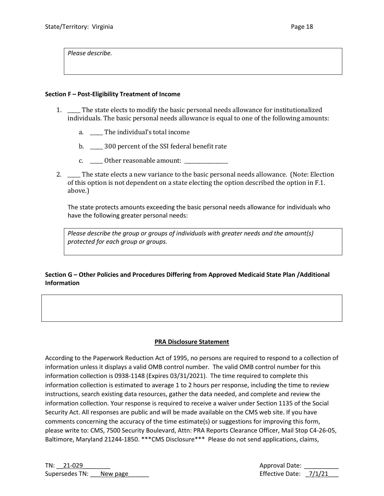*Please describe.*

### **Section F – Post-Eligibility Treatment of Income**

- 1. \_\_\_\_\_ The state elects to modify the basic personal needs allowance for institutionalized individuals. The basic personal needs allowance is equal to one of the following amounts:
	- a. The individual's total income
	- b.  $300$  percent of the SSI federal benefit rate
	- c. \_\_\_\_\_ Other reasonable amount: \_\_\_\_\_\_\_\_\_\_\_\_\_\_\_\_\_
- 2. \_\_\_\_\_ The state elects a new variance to the basic personal needs allowance. (Note: Election of this option is not dependent on a state electing the option described the option in F.1. above.)

The state protects amounts exceeding the basic personal needs allowance for individuals who have the following greater personal needs:

*Please describe the group or groups of individuals with greater needs and the amount(s) protected for each group or groups.* 

## **Section G – Other Policies and Procedures Differing from Approved Medicaid State Plan /Additional Information**

### **PRA Disclosure Statement**

According to the Paperwork Reduction Act of 1995, no persons are required to respond to a collection of information unless it displays a valid OMB control number. The valid OMB control number for this information collection is 0938-1148 (Expires 03/31/2021). The time required to complete this information collection is estimated to average 1 to 2 hours per response, including the time to review instructions, search existing data resources, gather the data needed, and complete and review the information collection. Your response is required to receive a waiver under Section 1135 of the Social Security Act. All responses are public and will be made available on the CMS web site. If you have comments concerning the accuracy of the time estimate(s) or suggestions for improving this form, please write to: CMS, 7500 Security Boulevard, Attn: PRA Reports Clearance Officer, Mail Stop C4-26-05, Baltimore, Maryland 21244-1850. \*\*\*CMS Disclosure\*\*\* Please do not send applications, claims,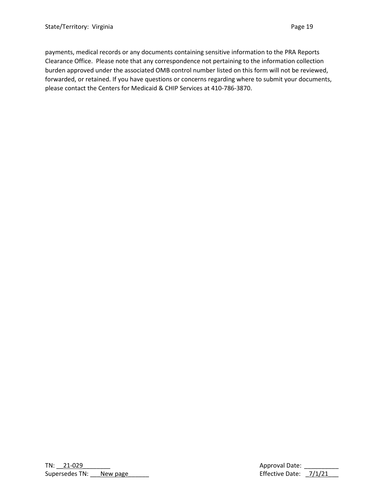payments, medical records or any documents containing sensitive information to the PRA Reports Clearance Office. Please note that any correspondence not pertaining to the information collection burden approved under the associated OMB control number listed on this form will not be reviewed, forwarded, or retained. If you have questions or concerns regarding where to submit your documents, please contact the Centers for Medicaid & CHIP Services at 410-786-3870.